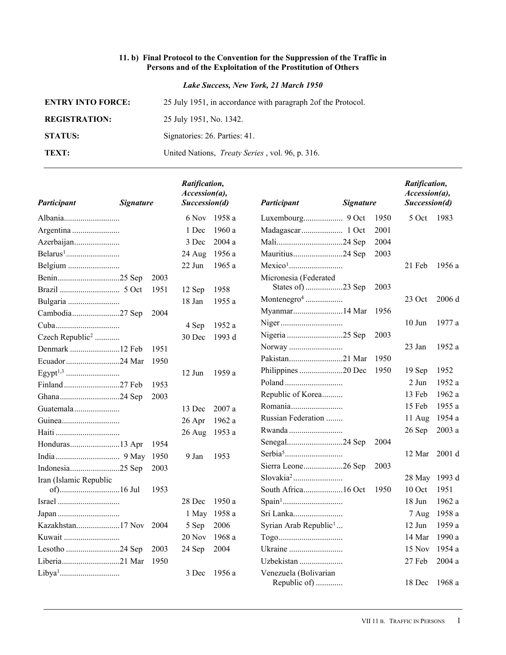## **11. b) Final Protocol to the Convention for the Suppression of the Traffic in Persons and of the Exploitation of the Prostitution of Others**

*Lake Success, New York, 21 March 1950*

| <b>ENTRY INTO FORCE:</b> | 25 July 1951, in accordance with paragraph 2 of the Protocol. |
|--------------------------|---------------------------------------------------------------|
| <b>REGISTRATION:</b>     | 25 July 1951, No. 1342.                                       |
| <b>STATUS:</b>           | Signatories: 26. Parties: 41.                                 |
| TEXT:                    | United Nations, <i>Treaty Series</i> , vol. 96, p. 316.       |

| Participant                 | <b>Signature</b> |      | Ratification,<br>Accession(a),<br>Succession(d) |              | Participant                           | <b>Signature</b> |      | Ratification,<br>Accession(a),<br>Succession(d) |        |
|-----------------------------|------------------|------|-------------------------------------------------|--------------|---------------------------------------|------------------|------|-------------------------------------------------|--------|
| Albania                     |                  |      | 6 Nov                                           | 1958 a       |                                       |                  | 1950 | 5 Oct                                           | 1983   |
| Argentina                   |                  |      | 1 Dec                                           | 1960 a       |                                       |                  | 2001 |                                                 |        |
| Azerbaijan                  |                  |      | 3 Dec                                           | 2004a        |                                       |                  | 2004 |                                                 |        |
|                             |                  |      | 24 Aug                                          | 1956 a       | Mauritius24 Sep                       |                  | 2003 |                                                 |        |
|                             |                  |      | 22 Jun                                          | 1965 a       |                                       |                  |      | 21 Feb                                          | 1956 a |
|                             |                  | 2003 |                                                 |              | Micronesia (Federated                 |                  |      |                                                 |        |
|                             |                  | 1951 | 12 Sep                                          | 1958         | States of …23 Sep                     |                  | 2003 |                                                 |        |
|                             |                  |      | 18 Jan                                          | 1955 a       | Montenegro <sup>4</sup>               |                  |      | 23 Oct                                          | 2006 d |
|                             |                  | 2004 |                                                 |              | Myanmar14 Mar                         |                  | 1956 |                                                 |        |
|                             |                  |      | 4 Sep                                           | 1952 a       |                                       |                  |      | $10$ Jun                                        | 1977 a |
| Czech Republic <sup>2</sup> |                  |      | 30 Dec                                          | 1993 d       |                                       |                  | 2003 |                                                 |        |
|                             |                  | 1951 |                                                 |              |                                       |                  |      | 23 Jan                                          | 1952 a |
|                             |                  | 1950 |                                                 |              | Pakistan21 Mar                        |                  | 1950 |                                                 |        |
|                             |                  |      | $12$ Jun                                        | 1959 a       |                                       |                  | 1950 | 19 Sep                                          | 1952   |
|                             |                  | 1953 |                                                 |              |                                       |                  |      | 2 Jun                                           | 1952a  |
|                             |                  | 2003 |                                                 |              | Republic of Korea                     |                  |      | 13 Feb                                          | 1962 a |
| Guatemala                   |                  |      | 13 Dec                                          | 2007 a       | Romania                               |                  |      | 15 Feb                                          | 1955 a |
|                             |                  |      | 26 Apr                                          | 1962 a       | Russian Federation                    |                  |      | 11 Aug                                          | 1954 a |
|                             |                  |      | $26$ Aug                                        | 1953 a       | Rwanda                                |                  |      | 26 Sep                                          | 2003 a |
|                             |                  | 1954 |                                                 |              |                                       |                  | 2004 |                                                 |        |
|                             |                  | 1950 | 9 Jan                                           | 1953         |                                       |                  |      | 12 Mar                                          | 2001 d |
|                             |                  | 2003 |                                                 |              | Sierra Leone26 Sep                    |                  | 2003 |                                                 |        |
| Iran (Islamic Republic      |                  |      |                                                 |              |                                       |                  |      | 28 May 1993 d                                   |        |
|                             |                  | 1953 |                                                 |              | South Africa16 Oct                    |                  | 1950 | 10 Oct                                          | 1951   |
|                             |                  |      | 28 Dec                                          | 1950 a       |                                       |                  |      | $18$ Jun                                        | 1962 a |
|                             |                  |      |                                                 | 1 May 1958 a | Sri Lanka                             |                  |      | 7 Aug                                           | 1958 a |
|                             |                  | 2004 | 5 Sep                                           | 2006         | Syrian Arab Republic <sup>1</sup>     |                  |      | $12$ Jun                                        | 1959 a |
| Kuwait                      |                  |      | 20 Nov                                          | 1968 a       |                                       |                  |      | 14 Mar                                          | 1990 a |
| Lesotho 24 Sep              |                  | 2003 | 24 Sep                                          | 2004         |                                       |                  |      | 15 Nov                                          | 1954 a |
|                             |                  | 1950 |                                                 |              | Uzbekistan                            |                  |      | 27 Feb                                          | 2004 a |
|                             |                  |      | 3 Dec                                           | 1956 a       | Venezuela (Bolivarian<br>Republic of) |                  |      | 18 Dec                                          | 1968 a |